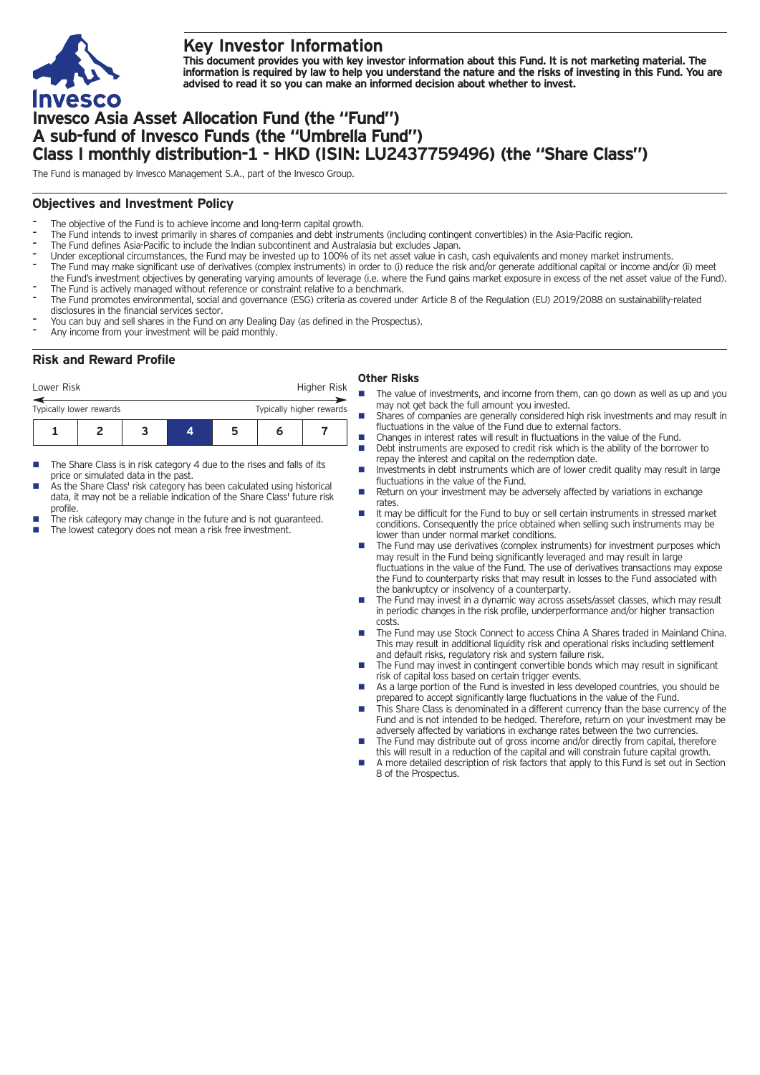

# **Key Investor Information**

This document provides you with key investor information about this Fund. It is not marketing material. The information is required by law to help you understand the nature and the risks of investing in this Fund. You are **advised to read it so you can make an informed decision about whether to invest.**

# **Invesco Asia Asset Allocation Fund (the "Fund") A sub-fund of Invesco Funds (the "Umbrella Fund") Class I monthly distribution-1 - HKD (ISIN: LU2437759496) (the "Share Class")**

The Fund is managed by Invesco Management S.A., part of the Invesco Group.

## **Objectives and Investment Policy**

- The objective of the Fund is to achieve income and long-term capital growth.
- The Fund intends to invest primarily in shares of companies and debt instruments (including contingent convertibles) in the Asia-Pacific region.
- The Fund defines Asia-Pacific to include the Indian subcontinent and Australasia but excludes Japan.
- Under exceptional circumstances, the Fund may be invested up to 100% of its net asset value in cash, cash equivalents and money market instruments.
- The Fund may make significant use of derivatives (complex instruments) in order to (i) reduce the risk and/or generate additional capital or income and/or (ii) meet the Fund's investment objectives by generating varying amounts of leverage (i.e. where the Fund gains market exposure in excess of the net asset value of the Fund).
- The Fund is actively managed without reference or constraint relative to a benchmark.
- The Fund promotes environmental, social and governance (ESG) criteria as covered under Article 8 of the Regulation (EU) 2019/2088 on sustainability-related disclosures in the financial services sector.
- You can buy and sell shares in the Fund on any Dealing Day (as defined in the Prospectus).
- Any income from your investment will be paid monthly.

# **Risk and Reward Profile**

### Lower Risk **Higher Risk** Higher Risk **Other Risks**

- **1234567** Typically lower rewards Typically higher rewards
- $\blacksquare$  The Share Class is in risk category 4 due to the rises and falls of its price or simulated data in the past.
- As the Share Class' risk category has been calculated using historical data, it may not be a reliable indication of the Share Class' future risk profile.
- The risk category may change in the future and is not guaranteed.
- The lowest category does not mean a risk free investment.
- The value of investments, and income from them, can go down as well as up and you may not get back the full amount you invested.
- $\blacksquare$  Shares of companies are generally considered high risk investments and may result in fluctuations in the value of the Fund due to external factors.
- $\blacksquare$  Changes in interest rates will result in fluctuations in the value of the Fund. Debt instruments are exposed to credit risk which is the ability of the borrower to
- repay the interest and capital on the redemption date. Investments in debt instruments which are of lower credit quality may result in large fluctuations in the value of the Fund.
- Return on your investment may be adversely affected by variations in exchange rates.
- n It may be difficult for the Fund to buy or sell certain instruments in stressed market conditions. Consequently the price obtained when selling such instruments may be lower than under normal market conditions.
- n The Fund may use derivatives (complex instruments) for investment purposes which may result in the Fund being significantly leveraged and may result in large fluctuations in the value of the Fund. The use of derivatives transactions may expose the Fund to counterparty risks that may result in losses to the Fund associated with the bankruptcy or insolvency of a counterparty.
- The Fund may invest in a dynamic way across assets/asset classes, which may result in periodic changes in the risk profile, underperformance and/or higher transaction costs.
- The Fund may use Stock Connect to access China A Shares traded in Mainland China. This may result in additional liquidity risk and operational risks including settlement and default risks, regulatory risk and system failure risk.
- The Fund may invest in contingent convertible bonds which may result in significant risk of capital loss based on certain trigger events.
- As a large portion of the Fund is invested in less developed countries, you should be prepared to accept significantly large fluctuations in the value of the Fund.
- This Share Class is denominated in a different currency than the base currency of the Fund and is not intended to be hedged. Therefore, return on your investment may be adversely affected by variations in exchange rates between the two currencies.
- The Fund may distribute out of gross income and/or directly from capital, therefore this will result in a reduction of the capital and will constrain future capital growth.
- n A more detailed description of risk factors that apply to this Fund is set out in Section 8 of the Prospectus.